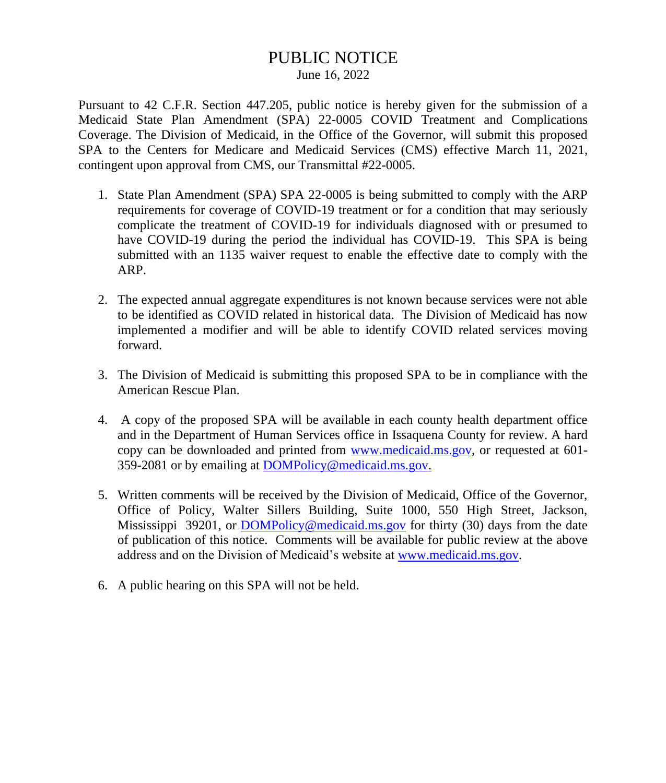# PUBLIC NOTICE

## June 16, 2022

Pursuant to 42 C.F.R. Section 447.205, public notice is hereby given for the submission of a Medicaid State Plan Amendment (SPA) 22-0005 COVID Treatment and Complications Coverage. The Division of Medicaid, in the Office of the Governor, will submit this proposed SPA to the Centers for Medicare and Medicaid Services (CMS) effective March 11, 2021, contingent upon approval from CMS, our Transmittal #22-0005.

- 1. State Plan Amendment (SPA) SPA 22-0005 is being submitted to comply with the ARP requirements for coverage of COVID-19 treatment or for a condition that may seriously complicate the treatment of COVID-19 for individuals diagnosed with or presumed to have COVID-19 during the period the individual has COVID-19. This SPA is being submitted with an 1135 waiver request to enable the effective date to comply with the ARP.
- 2. The expected annual aggregate expenditures is not known because services were not able to be identified as COVID related in historical data. The Division of Medicaid has now implemented a modifier and will be able to identify COVID related services moving forward.
- 3. The Division of Medicaid is submitting this proposed SPA to be in compliance with the American Rescue Plan.
- 4. A copy of the proposed SPA will be available in each county health department office and in the Department of Human Services office in Issaquena County for review. A hard copy can be downloaded and printed from [www.medicaid.ms.gov,](http://www.medicaid.ms.gov/) or requested at 601- 359-2081 or by emailing at [DOMPolicy@medicaid.ms.gov.](mailto:DOMPolicy@medicaid.ms.gov)
- 5. Written comments will be received by the Division of Medicaid, Office of the Governor, Office of Policy, Walter Sillers Building, Suite 1000, 550 High Street, Jackson, Mississippi 39201, or **DOMPolicy@medicaid.ms.gov** for thirty (30) days from the date of publication of this notice. Comments will be available for public review at the above address and on the Division of Medicaid's website at [www.medicaid.ms.gov.](http://www.medicaid.ms.gov/)
- 6. A public hearing on this SPA will not be held.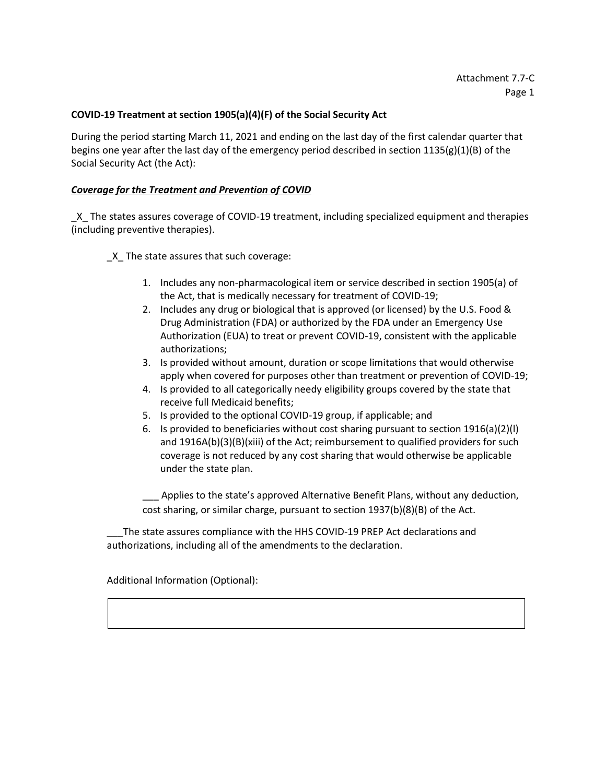## **COVID-19 Treatment at section 1905(a)(4)(F) of the Social Security Act**

During the period starting March 11, 2021 and ending on the last day of the first calendar quarter that begins one year after the last day of the emergency period described in section 1135(g)(1)(B) of the Social Security Act (the Act):

# *Coverage for the Treatment and Prevention of COVID*

\_X\_ The states assures coverage of COVID-19 treatment, including specialized equipment and therapies (including preventive therapies).

X The state assures that such coverage:

- 1. Includes any non-pharmacological item or service described in section 1905(a) of the Act, that is medically necessary for treatment of COVID-19;
- 2. Includes any drug or biological that is approved (or licensed) by the U.S. Food & Drug Administration (FDA) or authorized by the FDA under an Emergency Use Authorization (EUA) to treat or prevent COVID-19, consistent with the applicable authorizations;
- 3. Is provided without amount, duration or scope limitations that would otherwise apply when covered for purposes other than treatment or prevention of COVID-19;
- 4. Is provided to all categorically needy eligibility groups covered by the state that receive full Medicaid benefits;
- 5. Is provided to the optional COVID-19 group, if applicable; and
- 6. Is provided to beneficiaries without cost sharing pursuant to section  $1916(a)(2)(l)$ and 1916A(b)(3)(B)(xiii) of the Act; reimbursement to qualified providers for such coverage is not reduced by any cost sharing that would otherwise be applicable under the state plan.

Applies to the state's approved Alternative Benefit Plans, without any deduction, cost sharing, or similar charge, pursuant to section 1937(b)(8)(B) of the Act.

The state assures compliance with the HHS COVID-19 PREP Act declarations and authorizations, including all of the amendments to the declaration.

Additional Information (Optional):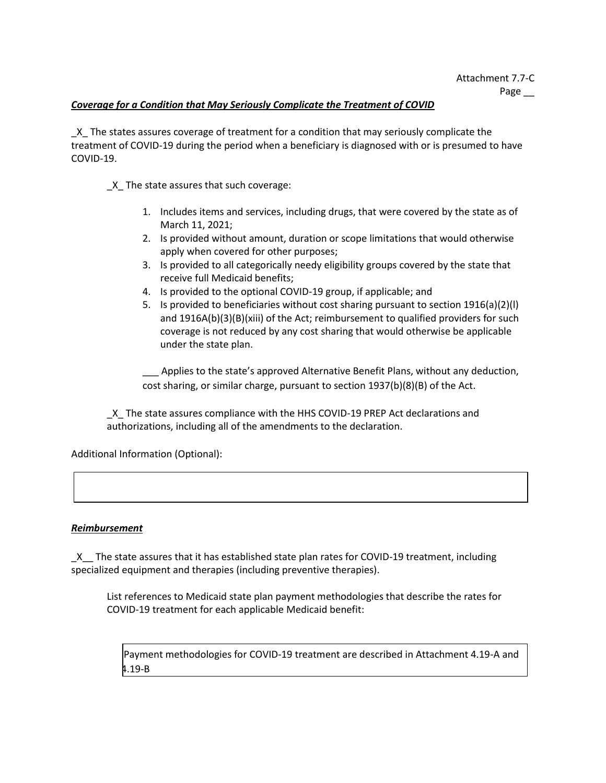## *Coverage for a Condition that May Seriously Complicate the Treatment of COVID*

\_X\_ The states assures coverage of treatment for a condition that may seriously complicate the treatment of COVID-19 during the period when a beneficiary is diagnosed with or is presumed to have COVID-19.

\_X\_ The state assures that such coverage:

- 1. Includes items and services, including drugs, that were covered by the state as of March 11, 2021;
- 2. Is provided without amount, duration or scope limitations that would otherwise apply when covered for other purposes;
- 3. Is provided to all categorically needy eligibility groups covered by the state that receive full Medicaid benefits;
- 4. Is provided to the optional COVID-19 group, if applicable; and
- 5. Is provided to beneficiaries without cost sharing pursuant to section 1916(a)(2)(l) and 1916A(b)(3)(B)(xiii) of the Act; reimbursement to qualified providers for such coverage is not reduced by any cost sharing that would otherwise be applicable under the state plan.

Applies to the state's approved Alternative Benefit Plans, without any deduction, cost sharing, or similar charge, pursuant to section 1937(b)(8)(B) of the Act.

\_X\_ The state assures compliance with the HHS COVID-19 PREP Act declarations and authorizations, including all of the amendments to the declaration.

Additional Information (Optional):

#### *Reimbursement*

X The state assures that it has established state plan rates for COVID-19 treatment, including specialized equipment and therapies (including preventive therapies).

List references to Medicaid state plan payment methodologies that describe the rates for COVID-19 treatment for each applicable Medicaid benefit:

Payment methodologies for COVID-19 treatment are described in Attachment 4.19-A and 4.19-B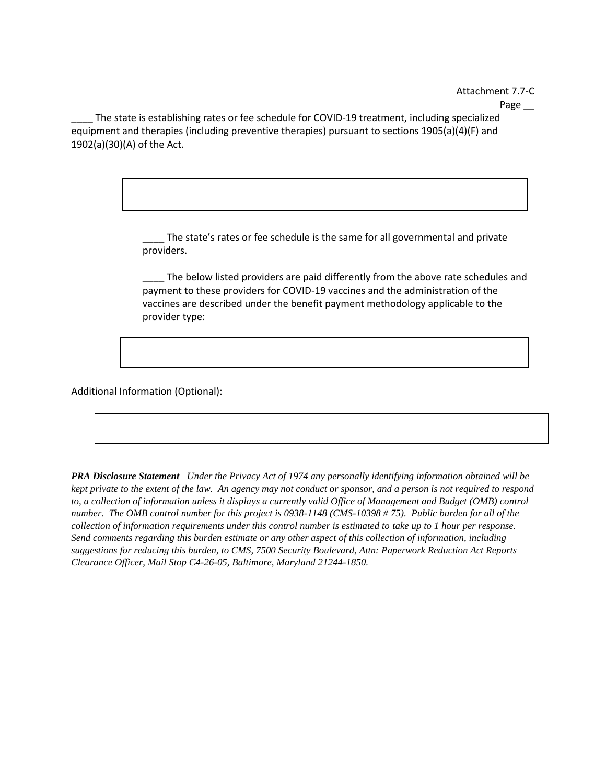The state is establishing rates or fee schedule for COVID-19 treatment, including specialized equipment and therapies (including preventive therapies) pursuant to sections 1905(a)(4)(F) and 1902(a)(30)(A) of the Act.

> \_\_\_\_ The state's rates or fee schedule is the same for all governmental and private providers.

\_\_\_\_ The below listed providers are paid differently from the above rate schedules and payment to these providers for COVID-19 vaccines and the administration of the vaccines are described under the benefit payment methodology applicable to the provider type:

Additional Information (Optional):

*PRA Disclosure Statement Under the Privacy Act of 1974 any personally identifying information obtained will be kept private to the extent of the law. An agency may not conduct or sponsor, and a person is not required to respond*  to, a collection of information unless it displays a currently valid Office of Management and Budget (OMB) control *number. The OMB control number for this project is 0938-1148 (CMS-10398 # 75). Public burden for all of the collection of information requirements under this control number is estimated to take up to 1 hour per response. Send comments regarding this burden estimate or any other aspect of this collection of information, including suggestions for reducing this burden, to CMS, 7500 Security Boulevard, Attn: Paperwork Reduction Act Reports Clearance Officer, Mail Stop C4-26-05, Baltimore, Maryland 21244-1850.*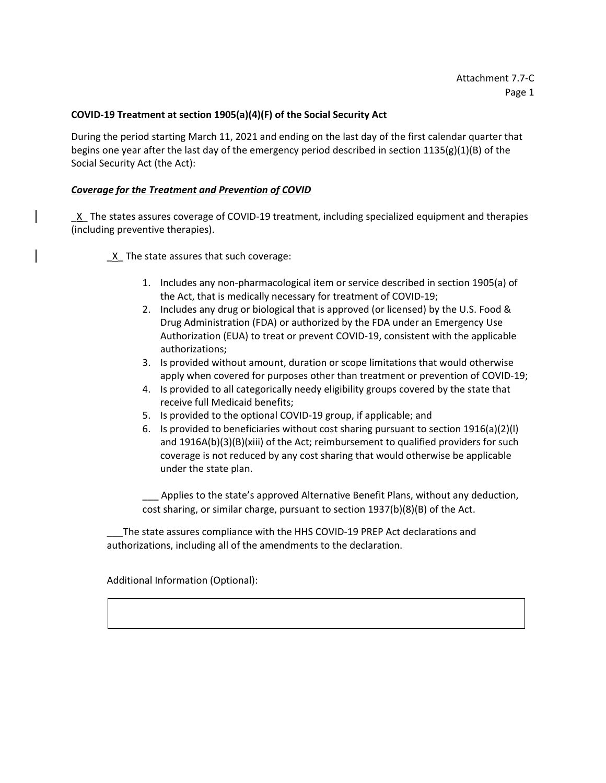## **COVID‐19 Treatment at section 1905(a)(4)(F) of the Social Security Act**

During the period starting March 11, 2021 and ending on the last day of the first calendar quarter that begins one year after the last day of the emergency period described in section 1135(g)(1)(B) of the Social Security Act (the Act):

# *Coverage for the Treatment and Prevention of COVID*

\_X\_ The states assures coverage of COVID‐19 treatment, including specialized equipment and therapies (including preventive therapies).

\_X\_ The state assures that such coverage:

- 1. Includes any non‐pharmacological item or service described in section 1905(a) of the Act, that is medically necessary for treatment of COVID‐19;
- 2. Includes any drug or biological that is approved (or licensed) by the U.S. Food & Drug Administration (FDA) or authorized by the FDA under an Emergency Use Authorization (EUA) to treat or prevent COVID‐19, consistent with the applicable authorizations;
- 3. Is provided without amount, duration or scope limitations that would otherwise apply when covered for purposes other than treatment or prevention of COVID‐19;
- 4. Is provided to all categorically needy eligibility groups covered by the state that receive full Medicaid benefits;
- 5. Is provided to the optional COVID‐19 group, if applicable; and
- 6. Is provided to beneficiaries without cost sharing pursuant to section  $1916(a)(2)(l)$ and 1916A(b)(3)(B)(xiii) of the Act; reimbursement to qualified providers for such coverage is not reduced by any cost sharing that would otherwise be applicable under the state plan.

Applies to the state's approved Alternative Benefit Plans, without any deduction, cost sharing, or similar charge, pursuant to section 1937(b)(8)(B) of the Act.

The state assures compliance with the HHS COVID-19 PREP Act declarations and authorizations, including all of the amendments to the declaration.

Additional Information (Optional):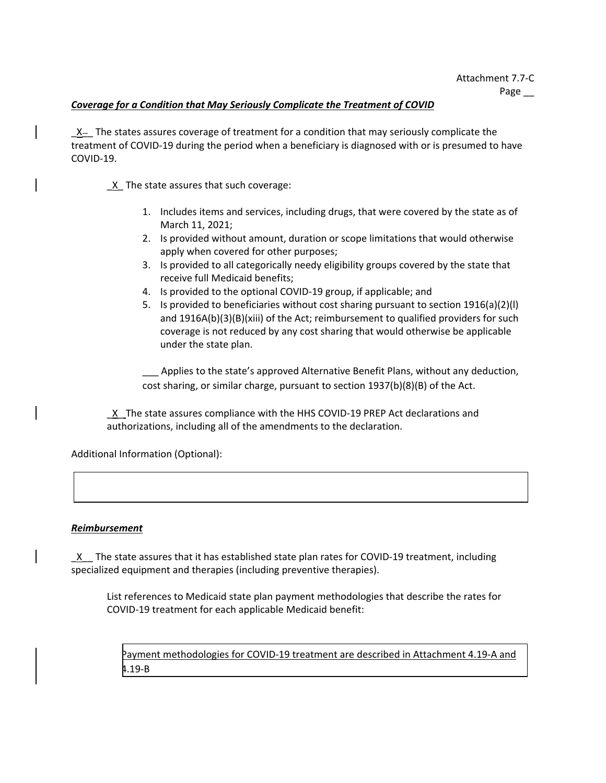## *Coverage for a Condition that May Seriously Complicate the Treatment of COVID*

X- The states assures coverage of treatment for a condition that may seriously complicate the treatment of COVID‐19 during the period when a beneficiary is diagnosed with or is presumed to have COVID‐19.

 $X$  The state assures that such coverage:

- 1. Includes items and services, including drugs, that were covered by the state as of March 11, 2021;
- 2. Is provided without amount, duration or scope limitations that would otherwise apply when covered for other purposes;
- 3. Is provided to all categorically needy eligibility groups covered by the state that receive full Medicaid benefits;
- 4. Is provided to the optional COVID‐19 group, if applicable; and
- 5. Is provided to beneficiaries without cost sharing pursuant to section 1916(a)(2)(l) and 1916A(b)(3)(B)(xiii) of the Act; reimbursement to qualified providers for such coverage is not reduced by any cost sharing that would otherwise be applicable under the state plan.

Applies to the state's approved Alternative Benefit Plans, without any deduction, cost sharing, or similar charge, pursuant to section 1937(b)(8)(B) of the Act.

X The state assures compliance with the HHS COVID-19 PREP Act declarations and authorizations, including all of the amendments to the declaration.

Additional Information (Optional):

#### *Reimbursement*

 $X$  The state assures that it has established state plan rates for COVID-19 treatment, including specialized equipment and therapies (including preventive therapies).

List references to Medicaid state plan payment methodologies that describe the rates for COVID‐19 treatment for each applicable Medicaid benefit:

Payment methodologies for COVID‐19 treatment are described in Attachment 4.19‐A and 4.19‐B